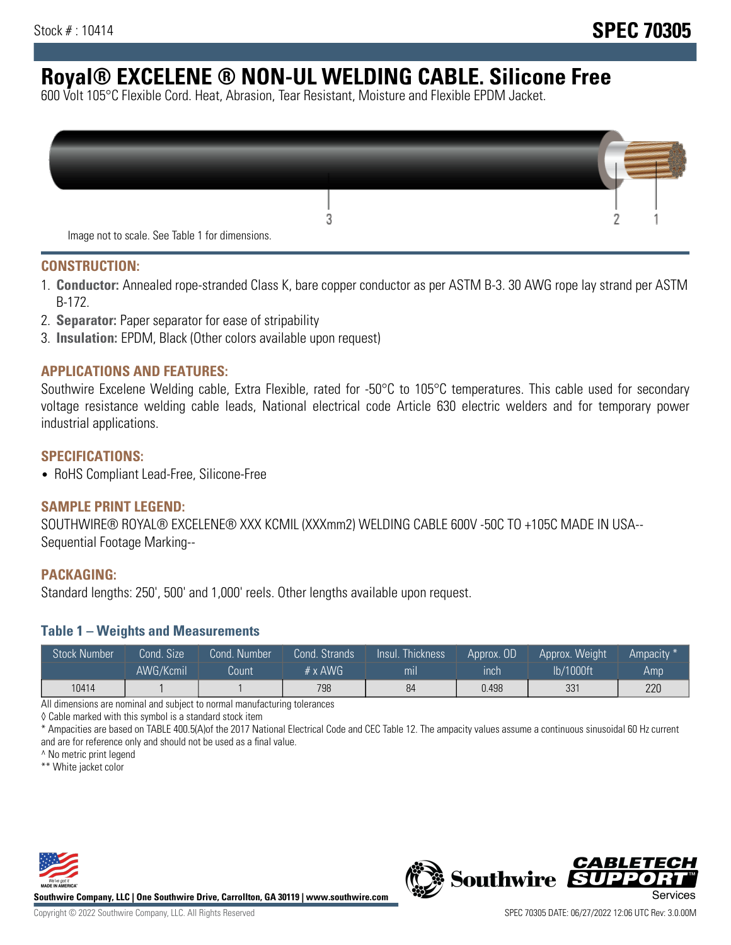# **Royal® EXCELENE ® NON-UL WELDING CABLE. Silicone Free**

600 Volt 105°C Flexible Cord. Heat, Abrasion, Tear Resistant, Moisture and Flexible EPDM Jacket.

| Image not to scale. See Table 1 for dimensions. |  |
|-------------------------------------------------|--|

#### **CONSTRUCTION:**

- 1. **Conductor:** Annealed rope-stranded Class K, bare copper conductor as per ASTM B-3. 30 AWG rope lay strand per ASTM B-172.
- 2. **Separator:** Paper separator for ease of stripability
- 3. **Insulation:** EPDM, Black (Other colors available upon request)

### **APPLICATIONS AND FEATURES:**

Southwire Excelene Welding cable, Extra Flexible, rated for -50°C to 105°C temperatures. This cable used for secondary voltage resistance welding cable leads, National electrical code Article 630 electric welders and for temporary power industrial applications.

#### **SPECIFICATIONS:**

• RoHS Compliant Lead-Free, Silicone-Free

#### **SAMPLE PRINT LEGEND:**

SOUTHWIRE® ROYAL® EXCELENE® XXX KCMIL (XXXmm2) WELDING CABLE 600V -50C TO +105C MADE IN USA-- Sequential Footage Marking--

#### **PACKAGING:**

Standard lengths: 250', 500' and 1,000' reels. Other lengths available upon request.

#### **Table 1 – Weights and Measurements**

| <b>Stock Number</b> | Cond. Size' | Cond. Number | Cond. Strands   | /Insul.<br>:Thickness' | Approx. OD | Approx. Weight | Ampacity * |
|---------------------|-------------|--------------|-----------------|------------------------|------------|----------------|------------|
|                     | AWG/Kcmil   | Count        | $# \times$ AWG. | m <sub>l</sub>         | inch       | lb/1000ft      | Amp        |
| 10414               |             |              | 798             | 84                     | 0.498      | 331            | 220        |

All dimensions are nominal and subject to normal manufacturing tolerances

◊ Cable marked with this symbol is a standard stock item

\* Ampacities are based on TABLE 400.5(A)of the 2017 National Electrical Code and CEC Table 12. The ampacity values assume a continuous sinusoidal 60 Hz current and are for reference only and should not be used as a final value.

^ No metric print legend

\*\* White jacket color



**Southwire Company, LLC | One Southwire Drive, Carrollton, GA 30119 | www.southwire.com**